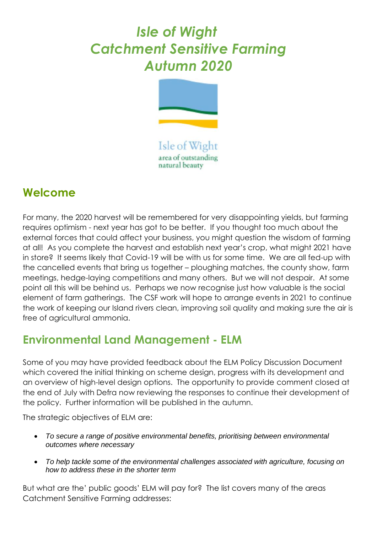## *Isle of Wight Catchment Sensitive Farming Autumn 2020*



Isle of Wight area of outstanding natural beauty

## **Welcome**

For many, the 2020 harvest will be remembered for very disappointing yields, but farming requires optimism - next year has got to be better. If you thought too much about the external forces that could affect your business, you might question the wisdom of farming at all! As you complete the harvest and establish next year's crop, what might 2021 have in store? It seems likely that Covid-19 will be with us for some time. We are all fed-up with the cancelled events that bring us together – ploughing matches, the county show, farm meetings, hedge-laying competitions and many others. But we will not despair. At some point all this will be behind us. Perhaps we now recognise just how valuable is the social element of farm gatherings. The CSF work will hope to arrange events in 2021 to continue the work of keeping our Island rivers clean, improving soil quality and making sure the air is free of agricultural ammonia.

## **Environmental Land Management - ELM**

Some of you may have provided feedback about the ELM Policy Discussion Document which covered the initial thinking on scheme design, progress with its development and an overview of high-level design options. The opportunity to provide comment closed at the end of July with Defra now reviewing the responses to continue their development of the policy. Further information will be published in the autumn.

The strategic objectives of ELM are:

- *To secure a range of positive environmental benefits, prioritising between environmental outcomes where necessary*
- *To help tackle some of the environmental challenges associated with agriculture, focusing on how to address these in the shorter term*

But what are the' public goods' ELM will pay for? The list covers many of the areas Catchment Sensitive Farming addresses: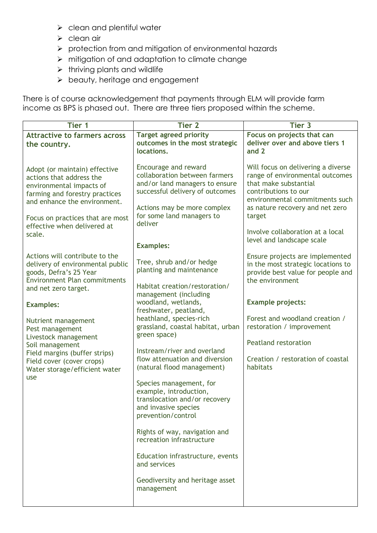- ➢ clean and plentiful water
- ➢ clean air
- ➢ protection from and mitigation of environmental hazards
- ➢ mitigation of and adaptation to climate change
- ➢ thriving plants and wildlife
- ➢ beauty, heritage and engagement

There is of course acknowledgement that payments through ELM will provide farm income as BPS is phased out. There are three tiers proposed within the scheme.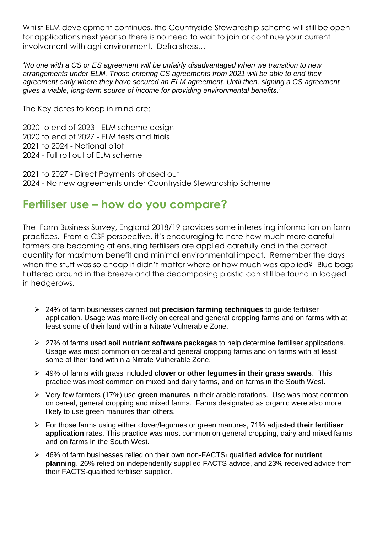Whilst ELM development continues, the Countryside Stewardship scheme will still be open for applications next year so there is no need to wait to join or continue your current involvement with agri-environment. Defra stress…

*'No one with a CS or ES agreement will be unfairly disadvantaged when we transition to new arrangements under ELM. Those entering CS agreements from 2021 will be able to end their agreement early where they have secured an ELM agreement. Until then, signing a CS agreement gives a viable, long-term source of income for providing environmental benefits.'*

The Key dates to keep in mind are:

2020 to end of 2023 - ELM scheme design 2020 to end of 2027 - ELM tests and trials 2021 to 2024 - National pilot 2024 - Full roll out of ELM scheme

2021 to 2027 - Direct Payments phased out 2024 - No new agreements under Countryside Stewardship Scheme

## **Fertiliser use – how do you compare?**

The Farm Business Survey, England 2018/19 provides some interesting information on farm practices. From a CSF perspective, it's encouraging to note how much more careful farmers are becoming at ensuring fertilisers are applied carefully and in the correct quantity for maximum benefit and minimal environmental impact. Remember the days when the stuff was so cheap it didn't matter where or how much was applied? Blue bags fluttered around in the breeze and the decomposing plastic can still be found in lodged in hedgerows.

- ➢ 24% of farm businesses carried out **precision farming techniques** to guide fertiliser application. Usage was more likely on cereal and general cropping farms and on farms with at least some of their land within a Nitrate Vulnerable Zone.
- ➢ 27% of farms used **soil nutrient software packages** to help determine fertiliser applications. Usage was most common on cereal and general cropping farms and on farms with at least some of their land within a Nitrate Vulnerable Zone.
- ➢ 49% of farms with grass included **clover or other legumes in their grass swards**. This practice was most common on mixed and dairy farms, and on farms in the South West.
- ➢ Very few farmers (17%) use **green manures** in their arable rotations. Use was most common on cereal, general cropping and mixed farms. Farms designated as organic were also more likely to use green manures than others.
- ➢ For those farms using either clover/legumes or green manures, 71% adjusted **their fertiliser application** rates. This practice was most common on general cropping, dairy and mixed farms and on farms in the South West.
- ➢ 46% of farm businesses relied on their own non-FACTS1 qualified **advice for nutrient planning**, 26% relied on independently supplied FACTS advice, and 23% received advice from their FACTS-qualified fertiliser supplier.